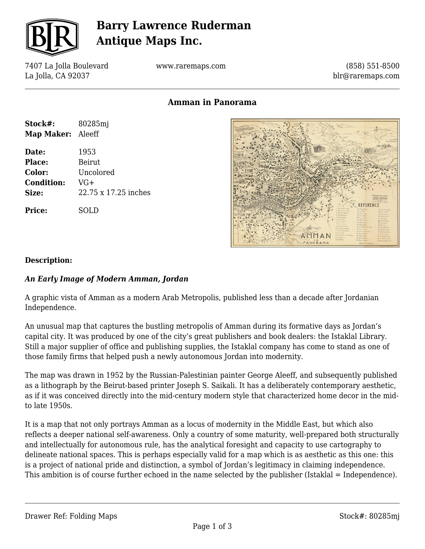

# **Barry Lawrence Ruderman Antique Maps Inc.**

7407 La Jolla Boulevard La Jolla, CA 92037

**Stock#:** 80285mj **Map Maker:** Aleeff

**Date:** 1953 Place: Beirut. **Color:** Uncolored

**Condition:** VG+

**Price:** SOLD

**Size:** 22.75 x 17.25 inches

www.raremaps.com

(858) 551-8500 blr@raremaps.com

**Amman in Panorama**



### **Description:**

### *An Early Image of Modern Amman, Jordan*

A graphic vista of Amman as a modern Arab Metropolis, published less than a decade after Jordanian Independence.

An unusual map that captures the bustling metropolis of Amman during its formative days as Jordan's capital city. It was produced by one of the city's great publishers and book dealers: the Istaklal Library. Still a major supplier of office and publishing supplies, the Istaklal company has come to stand as one of those family firms that helped push a newly autonomous Jordan into modernity.

The map was drawn in 1952 by the Russian-Palestinian painter George Aleeff, and subsequently published as a lithograph by the Beirut-based printer Joseph S. Saikali. It has a deliberately contemporary aesthetic, as if it was conceived directly into the mid-century modern style that characterized home decor in the midto late 1950s.

It is a map that not only portrays Amman as a locus of modernity in the Middle East, but which also reflects a deeper national self-awareness. Only a country of some maturity, well-prepared both structurally and intellectually for autonomous rule, has the analytical foresight and capacity to use cartography to delineate national spaces. This is perhaps especially valid for a map which is as aesthetic as this one: this is a project of national pride and distinction, a symbol of Jordan's legitimacy in claiming independence. This ambition is of course further echoed in the name selected by the publisher (Istaklal = Independence).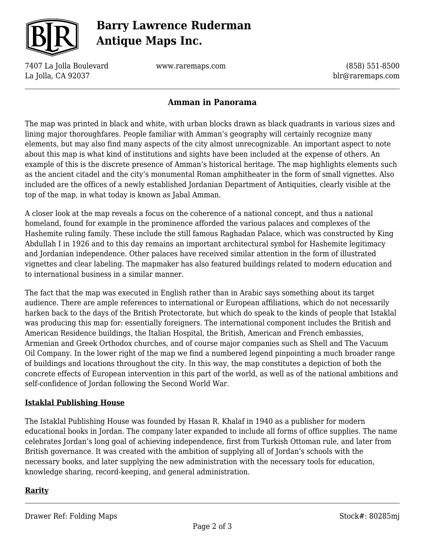

# **Barry Lawrence Ruderman Antique Maps Inc.**

7407 La Jolla Boulevard La Jolla, CA 92037

www.raremaps.com

(858) 551-8500 blr@raremaps.com

## **Amman in Panorama**

The map was printed in black and white, with urban blocks drawn as black quadrants in various sizes and lining major thoroughfares. People familiar with Amman's geography will certainly recognize many elements, but may also find many aspects of the city almost unrecognizable. An important aspect to note about this map is what kind of institutions and sights have been included at the expense of others. An example of this is the discrete presence of Amman's historical heritage. The map highlights elements such as the ancient citadel and the city's monumental Roman amphitheater in the form of small vignettes. Also included are the offices of a newly established Jordanian Department of Antiquities, clearly visible at the top of the map, in what today is known as Jabal Amman.

A closer look at the map reveals a focus on the coherence of a national concept, and thus a national homeland, found for example in the prominence afforded the various palaces and complexes of the Hashemite ruling family. These include the still famous Raghadan Palace, which was constructed by King Abdullah I in 1926 and to this day remains an important architectural symbol for Hashemite legitimacy and Jordanian independence. Other palaces have received similar attention in the form of illustrated vignettes and clear labeling. The mapmaker has also featured buildings related to modern education and to international business in a similar manner.

The fact that the map was executed in English rather than in Arabic says something about its target audience. There are ample references to international or European affiliations, which do not necessarily harken back to the days of the British Protectorate, but which do speak to the kinds of people that Istaklal was producing this map for: essentially foreigners. The international component includes the British and American Residence buildings, the Italian Hospital, the British, American and French embassies, Armenian and Greek Orthodox churches, and of course major companies such as Shell and The Vacuum Oil Company. In the lower right of the map we find a numbered legend pinpointing a much broader range of buildings and locations throughout the city. In this way, the map constitutes a depiction of both the concrete effects of European intervention in this part of the world, as well as of the national ambitions and self-confidence of Jordan following the Second World War.

### **Istaklal Publishing House**

The Istaklal Publishing House was founded by Hasan R. Khalaf in 1940 as a publisher for modern educational books in Jordan. The company later expanded to include all forms of office supplies. The name celebrates Jordan's long goal of achieving independence, first from Turkish Ottoman rule, and later from British governance. It was created with the ambition of supplying all of Jordan's schools with the necessary books, and later supplying the new administration with the necessary tools for education, knowledge sharing, record-keeping, and general administration.

### **Rarity**